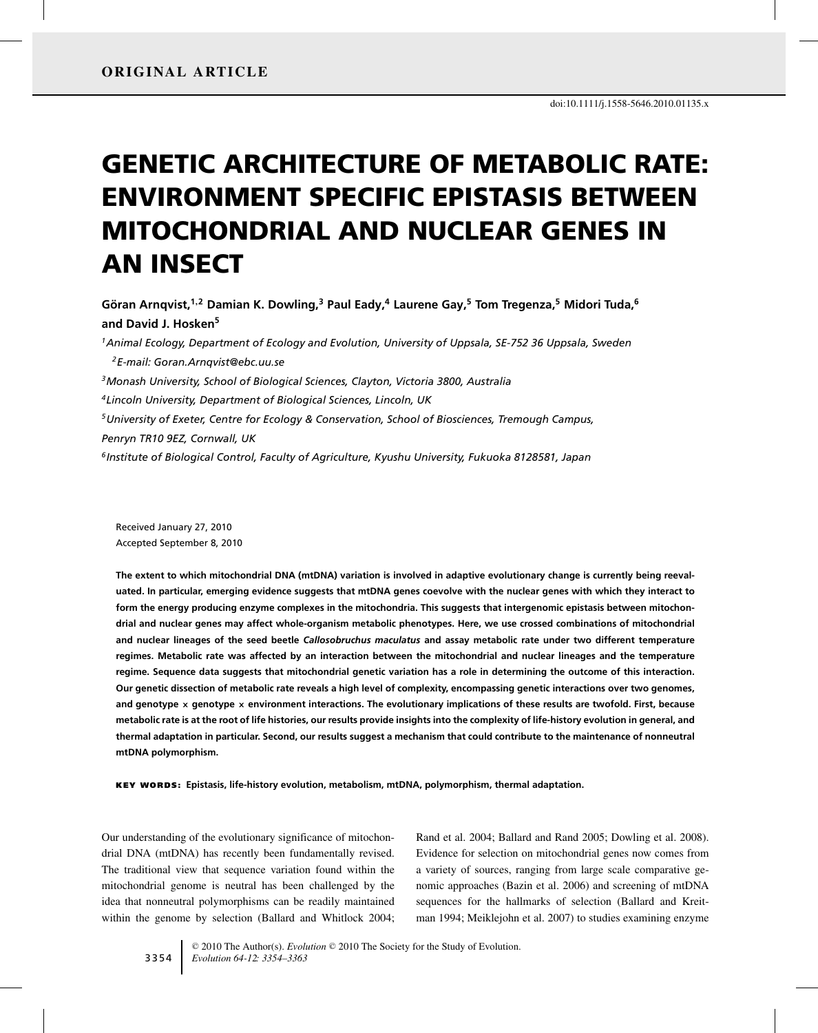# GENETIC ARCHITECTURE OF METABOLIC RATE: ENVIRONMENT SPECIFIC EPISTASIS BETWEEN MITOCHONDRIAL AND NUCLEAR GENES IN AN INSECT

**Goran Arnqvist, ¨ <sup>1</sup>,<sup>2</sup> Damian K. Dowling,<sup>3</sup> Paul Eady,<sup>4</sup> Laurene Gay,5 Tom Tregenza,<sup>5</sup> Midori Tuda,6 and David J. Hosken5**

*1Animal Ecology, Department of Ecology and Evolution, University of Uppsala, SE-752 36 Uppsala, Sweden 2E-mail: Goran.Arnqvist@ebc.uu.se 3Monash University, School of Biological Sciences, Clayton, Victoria 3800, Australia 4Lincoln University, Department of Biological Sciences, Lincoln, UK 5University of Exeter, Centre for Ecology & Conservation, School of Biosciences, Tremough Campus, Penryn TR10 9EZ, Cornwall, UK 6Institute of Biological Control, Faculty of Agriculture, Kyushu University, Fukuoka 8128581, Japan*

Received January 27, 2010 Accepted September 8, 2010

**The extent to which mitochondrial DNA (mtDNA) variation is involved in adaptive evolutionary change is currently being reevaluated. In particular, emerging evidence suggests that mtDNA genes coevolve with the nuclear genes with which they interact to form the energy producing enzyme complexes in the mitochondria. This suggests that intergenomic epistasis between mitochondrial and nuclear genes may affect whole-organism metabolic phenotypes. Here, we use crossed combinations of mitochondrial and nuclear lineages of the seed beetle** *Callosobruchus maculatus* **and assay metabolic rate under two different temperature regimes. Metabolic rate was affected by an interaction between the mitochondrial and nuclear lineages and the temperature regime. Sequence data suggests that mitochondrial genetic variation has a role in determining the outcome of this interaction. Our genetic dissection of metabolic rate reveals a high level of complexity, encompassing genetic interactions over two genomes, and genotype × genotype × environment interactions. The evolutionary implications of these results are twofold. First, because metabolic rate is at the root of life histories, our results provide insights into the complexity of life-history evolution in general, and thermal adaptation in particular. Second, our results suggest a mechanism that could contribute to the maintenance of nonneutral mtDNA polymorphism.**

KEY WORDS: **Epistasis, life-history evolution, metabolism, mtDNA, polymorphism, thermal adaptation.**

Our understanding of the evolutionary significance of mitochondrial DNA (mtDNA) has recently been fundamentally revised. The traditional view that sequence variation found within the mitochondrial genome is neutral has been challenged by the idea that nonneutral polymorphisms can be readily maintained within the genome by selection (Ballard and Whitlock 2004; Rand et al. 2004; Ballard and Rand 2005; Dowling et al. 2008). Evidence for selection on mitochondrial genes now comes from a variety of sources, ranging from large scale comparative genomic approaches (Bazin et al. 2006) and screening of mtDNA sequences for the hallmarks of selection (Ballard and Kreitman 1994; Meiklejohn et al. 2007) to studies examining enzyme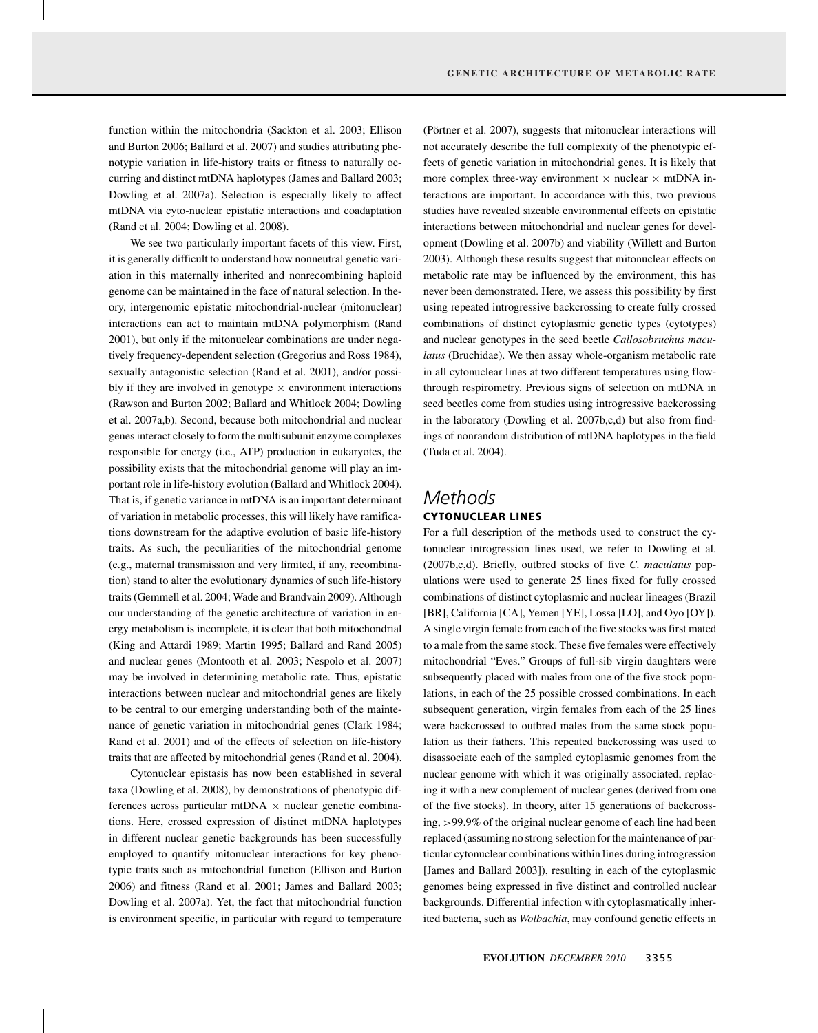function within the mitochondria (Sackton et al. 2003; Ellison and Burton 2006; Ballard et al. 2007) and studies attributing phenotypic variation in life-history traits or fitness to naturally occurring and distinct mtDNA haplotypes (James and Ballard 2003; Dowling et al. 2007a). Selection is especially likely to affect mtDNA via cyto-nuclear epistatic interactions and coadaptation (Rand et al. 2004; Dowling et al. 2008).

We see two particularly important facets of this view. First, it is generally difficult to understand how nonneutral genetic variation in this maternally inherited and nonrecombining haploid genome can be maintained in the face of natural selection. In theory, intergenomic epistatic mitochondrial-nuclear (mitonuclear) interactions can act to maintain mtDNA polymorphism (Rand 2001), but only if the mitonuclear combinations are under negatively frequency-dependent selection (Gregorius and Ross 1984), sexually antagonistic selection (Rand et al. 2001), and/or possibly if they are involved in genotype  $\times$  environment interactions (Rawson and Burton 2002; Ballard and Whitlock 2004; Dowling et al. 2007a,b). Second, because both mitochondrial and nuclear genes interact closely to form the multisubunit enzyme complexes responsible for energy (i.e., ATP) production in eukaryotes, the possibility exists that the mitochondrial genome will play an important role in life-history evolution (Ballard and Whitlock 2004). That is, if genetic variance in mtDNA is an important determinant of variation in metabolic processes, this will likely have ramifications downstream for the adaptive evolution of basic life-history traits. As such, the peculiarities of the mitochondrial genome (e.g., maternal transmission and very limited, if any, recombination) stand to alter the evolutionary dynamics of such life-history traits (Gemmell et al. 2004; Wade and Brandvain 2009). Although our understanding of the genetic architecture of variation in energy metabolism is incomplete, it is clear that both mitochondrial (King and Attardi 1989; Martin 1995; Ballard and Rand 2005) and nuclear genes (Montooth et al. 2003; Nespolo et al. 2007) may be involved in determining metabolic rate. Thus, epistatic interactions between nuclear and mitochondrial genes are likely to be central to our emerging understanding both of the maintenance of genetic variation in mitochondrial genes (Clark 1984; Rand et al. 2001) and of the effects of selection on life-history traits that are affected by mitochondrial genes (Rand et al. 2004).

Cytonuclear epistasis has now been established in several taxa (Dowling et al. 2008), by demonstrations of phenotypic differences across particular mtDNA  $\times$  nuclear genetic combinations. Here, crossed expression of distinct mtDNA haplotypes in different nuclear genetic backgrounds has been successfully employed to quantify mitonuclear interactions for key phenotypic traits such as mitochondrial function (Ellison and Burton 2006) and fitness (Rand et al. 2001; James and Ballard 2003; Dowling et al. 2007a). Yet, the fact that mitochondrial function is environment specific, in particular with regard to temperature (Pörtner et al. 2007), suggests that mitonuclear interactions will not accurately describe the full complexity of the phenotypic effects of genetic variation in mitochondrial genes. It is likely that more complex three-way environment  $\times$  nuclear  $\times$  mtDNA interactions are important. In accordance with this, two previous studies have revealed sizeable environmental effects on epistatic interactions between mitochondrial and nuclear genes for development (Dowling et al. 2007b) and viability (Willett and Burton 2003). Although these results suggest that mitonuclear effects on metabolic rate may be influenced by the environment, this has never been demonstrated. Here, we assess this possibility by first using repeated introgressive backcrossing to create fully crossed combinations of distinct cytoplasmic genetic types (cytotypes) and nuclear genotypes in the seed beetle *Callosobruchus maculatus* (Bruchidae). We then assay whole-organism metabolic rate in all cytonuclear lines at two different temperatures using flowthrough respirometry. Previous signs of selection on mtDNA in seed beetles come from studies using introgressive backcrossing in the laboratory (Dowling et al. 2007b,c,d) but also from findings of nonrandom distribution of mtDNA haplotypes in the field (Tuda et al. 2004).

### *Methods* CYTONUCLEAR LINES

For a full description of the methods used to construct the cytonuclear introgression lines used, we refer to Dowling et al. (2007b,c,d). Briefly, outbred stocks of five *C. maculatus* populations were used to generate 25 lines fixed for fully crossed combinations of distinct cytoplasmic and nuclear lineages (Brazil [BR], California [CA], Yemen [YE], Lossa [LO], and Oyo [OY]). A single virgin female from each of the five stocks was first mated to a male from the same stock. These five females were effectively mitochondrial "Eves." Groups of full-sib virgin daughters were subsequently placed with males from one of the five stock populations, in each of the 25 possible crossed combinations. In each subsequent generation, virgin females from each of the 25 lines were backcrossed to outbred males from the same stock population as their fathers. This repeated backcrossing was used to disassociate each of the sampled cytoplasmic genomes from the nuclear genome with which it was originally associated, replacing it with a new complement of nuclear genes (derived from one of the five stocks). In theory, after 15 generations of backcrossing, >99.9% of the original nuclear genome of each line had been replaced (assuming no strong selection for the maintenance of particular cytonuclear combinations within lines during introgression [James and Ballard 2003]), resulting in each of the cytoplasmic genomes being expressed in five distinct and controlled nuclear backgrounds. Differential infection with cytoplasmatically inherited bacteria, such as *Wolbachia*, may confound genetic effects in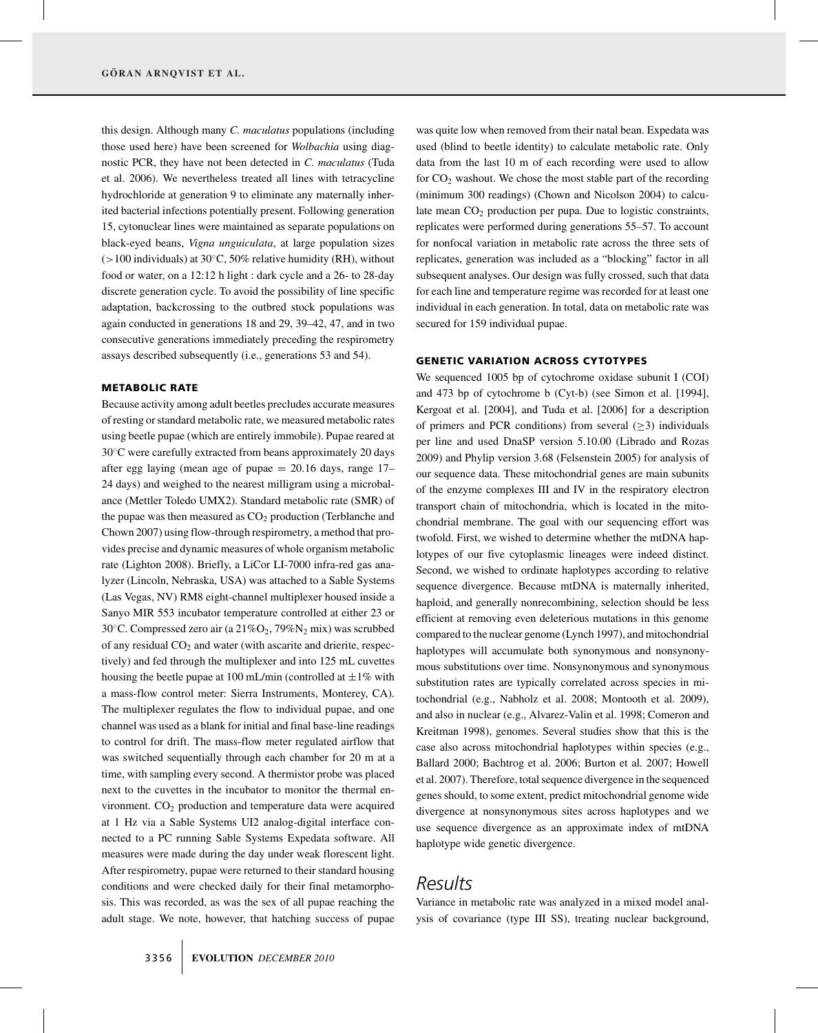this design. Although many *C. maculatus* populations (including those used here) have been screened for *Wolbachia* using diagnostic PCR, they have not been detected in *C. maculatus* (Tuda et al. 2006). We nevertheless treated all lines with tetracycline hydrochloride at generation 9 to eliminate any maternally inherited bacterial infections potentially present. Following generation 15, cytonuclear lines were maintained as separate populations on black-eyed beans, *Vigna unguiculata*, at large population sizes  $(>100$  individuals) at 30 $°C$ , 50% relative humidity (RH), without food or water, on a 12:12 h light : dark cycle and a 26- to 28-day discrete generation cycle. To avoid the possibility of line specific adaptation, backcrossing to the outbred stock populations was again conducted in generations 18 and 29, 39–42, 47, and in two consecutive generations immediately preceding the respirometry assays described subsequently (i.e., generations 53 and 54).

### METABOLIC RATE

Because activity among adult beetles precludes accurate measures of resting or standard metabolic rate, we measured metabolic rates using beetle pupae (which are entirely immobile). Pupae reared at 30◦C were carefully extracted from beans approximately 20 days after egg laying (mean age of pupae  $= 20.16$  days, range 17– 24 days) and weighed to the nearest milligram using a microbalance (Mettler Toledo UMX2). Standard metabolic rate (SMR) of the pupae was then measured as  $CO<sub>2</sub>$  production (Terblanche and Chown 2007) using flow-through respirometry, a method that provides precise and dynamic measures of whole organism metabolic rate (Lighton 2008). Briefly, a LiCor LI-7000 infra-red gas analyzer (Lincoln, Nebraska, USA) was attached to a Sable Systems (Las Vegas, NV) RM8 eight-channel multiplexer housed inside a Sanyo MIR 553 incubator temperature controlled at either 23 or 30 $°C$ . Compressed zero air (a 21% $O_2$ , 79% $N_2$  mix) was scrubbed of any residual  $CO<sub>2</sub>$  and water (with ascarite and drierite, respectively) and fed through the multiplexer and into 125 mL cuvettes housing the beetle pupae at 100 mL/min (controlled at  $\pm 1\%$  with a mass-flow control meter: Sierra Instruments, Monterey, CA). The multiplexer regulates the flow to individual pupae, and one channel was used as a blank for initial and final base-line readings to control for drift. The mass-flow meter regulated airflow that was switched sequentially through each chamber for 20 m at a time, with sampling every second. A thermistor probe was placed next to the cuvettes in the incubator to monitor the thermal environment.  $CO<sub>2</sub>$  production and temperature data were acquired at 1 Hz via a Sable Systems UI2 analog-digital interface connected to a PC running Sable Systems Expedata software. All measures were made during the day under weak florescent light. After respirometry, pupae were returned to their standard housing conditions and were checked daily for their final metamorphosis. This was recorded, as was the sex of all pupae reaching the adult stage. We note, however, that hatching success of pupae

was quite low when removed from their natal bean. Expedata was used (blind to beetle identity) to calculate metabolic rate. Only data from the last 10 m of each recording were used to allow for  $CO<sub>2</sub>$  washout. We chose the most stable part of the recording (minimum 300 readings) (Chown and Nicolson 2004) to calculate mean  $CO<sub>2</sub>$  production per pupa. Due to logistic constraints, replicates were performed during generations 55–57. To account for nonfocal variation in metabolic rate across the three sets of replicates, generation was included as a "blocking" factor in all subsequent analyses. Our design was fully crossed, such that data for each line and temperature regime was recorded for at least one individual in each generation. In total, data on metabolic rate was secured for 159 individual pupae.

### GENETIC VARIATION ACROSS CYTOTYPES

We sequenced 1005 bp of cytochrome oxidase subunit I (COI) and 473 bp of cytochrome b (Cyt-b) (see Simon et al. [1994], Kergoat et al. [2004], and Tuda et al. [2006] for a description of primers and PCR conditions) from several  $(\geq 3)$  individuals per line and used DnaSP version 5.10.00 (Librado and Rozas 2009) and Phylip version 3.68 (Felsenstein 2005) for analysis of our sequence data. These mitochondrial genes are main subunits of the enzyme complexes III and IV in the respiratory electron transport chain of mitochondria, which is located in the mitochondrial membrane. The goal with our sequencing effort was twofold. First, we wished to determine whether the mtDNA haplotypes of our five cytoplasmic lineages were indeed distinct. Second, we wished to ordinate haplotypes according to relative sequence divergence. Because mtDNA is maternally inherited, haploid, and generally nonrecombining, selection should be less efficient at removing even deleterious mutations in this genome compared to the nuclear genome (Lynch 1997), and mitochondrial haplotypes will accumulate both synonymous and nonsynonymous substitutions over time. Nonsynonymous and synonymous substitution rates are typically correlated across species in mitochondrial (e.g., Nabholz et al. 2008; Montooth et al. 2009), and also in nuclear (e.g., Alvarez-Valin et al. 1998; Comeron and Kreitman 1998), genomes. Several studies show that this is the case also across mitochondrial haplotypes within species (e.g., Ballard 2000; Bachtrog et al. 2006; Burton et al. 2007; Howell et al. 2007). Therefore, total sequence divergence in the sequenced genes should, to some extent, predict mitochondrial genome wide divergence at nonsynonymous sites across haplotypes and we use sequence divergence as an approximate index of mtDNA haplotype wide genetic divergence.

## *Results*

Variance in metabolic rate was analyzed in a mixed model analysis of covariance (type III SS), treating nuclear background,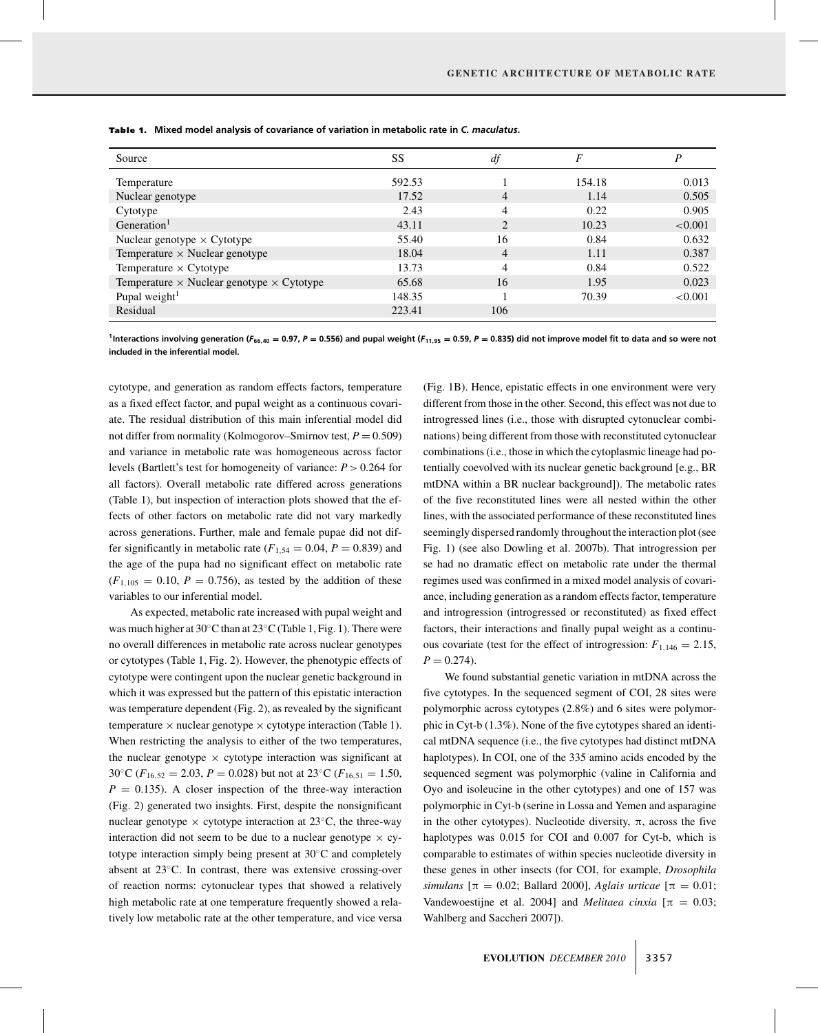| Source                                                  | SS     | df             | F      | P       |
|---------------------------------------------------------|--------|----------------|--------|---------|
| Temperature                                             | 592.53 |                | 154.18 | 0.013   |
| Nuclear genotype                                        | 17.52  | $\overline{4}$ | 1.14   | 0.505   |
| Cytotype                                                | 2.43   | 4              | 0.22   | 0.905   |
| Generation <sup>1</sup>                                 | 43.11  | 2              | 10.23  | < 0.001 |
| Nuclear genotype $\times$ Cytotype                      | 55.40  | 16             | 0.84   | 0.632   |
| Temperature $\times$ Nuclear genotype                   | 18.04  | $\overline{4}$ | 1.11   | 0.387   |
| Temperature $\times$ Cytotype                           | 13.73  | 4              | 0.84   | 0.522   |
| Temperature $\times$ Nuclear genotype $\times$ Cytotype | 65.68  | 16             | 1.95   | 0.023   |
| Pupal weight $1$                                        | 148.35 |                | 70.39  | < 0.001 |
| Residual                                                | 223.41 | 106            |        |         |

Table 1. Mixed model analysis of covariance of variation in metabolic rate in *C. maculatus*.

<sup>1</sup>Interactions involving generation (F<sub>66,40</sub> = 0.97, P = 0.556) and pupal weight (F<sub>11,95</sub> = 0.59, P = 0.835) did not improve model fit to data and so were not **included in the inferential model.**

cytotype, and generation as random effects factors, temperature as a fixed effect factor, and pupal weight as a continuous covariate. The residual distribution of this main inferential model did not differ from normality (Kolmogorov–Smirnov test,  $P = 0.509$ ) and variance in metabolic rate was homogeneous across factor levels (Bartlett's test for homogeneity of variance: *P* > 0.264 for all factors). Overall metabolic rate differed across generations (Table 1), but inspection of interaction plots showed that the effects of other factors on metabolic rate did not vary markedly across generations. Further, male and female pupae did not differ significantly in metabolic rate  $(F_{1,54} = 0.04, P = 0.839)$  and the age of the pupa had no significant effect on metabolic rate  $(F_{1,105} = 0.10, P = 0.756)$ , as tested by the addition of these variables to our inferential model.

As expected, metabolic rate increased with pupal weight and was much higher at 30 $\mathrm{^{\circ}C}$  than at 23 $\mathrm{^{\circ}C}$  (Table 1, Fig. 1). There were no overall differences in metabolic rate across nuclear genotypes or cytotypes (Table 1, Fig. 2). However, the phenotypic effects of cytotype were contingent upon the nuclear genetic background in which it was expressed but the pattern of this epistatic interaction was temperature dependent (Fig. 2), as revealed by the significant temperature  $\times$  nuclear genotype  $\times$  cytotype interaction (Table 1). When restricting the analysis to either of the two temperatures, the nuclear genotype  $\times$  cytotype interaction was significant at 30°C ( $F_{16,52} = 2.03$ ,  $P = 0.028$ ) but not at 23°C ( $F_{16,51} = 1.50$ ,  $P = 0.135$ . A closer inspection of the three-way interaction (Fig. 2) generated two insights. First, despite the nonsignificant nuclear genotype  $\times$  cytotype interaction at 23 $\degree$ C, the three-way interaction did not seem to be due to a nuclear genotype  $\times$  cytotype interaction simply being present at 30◦C and completely absent at 23◦C. In contrast, there was extensive crossing-over of reaction norms: cytonuclear types that showed a relatively high metabolic rate at one temperature frequently showed a relatively low metabolic rate at the other temperature, and vice versa (Fig. 1B). Hence, epistatic effects in one environment were very different from those in the other. Second, this effect was not due to introgressed lines (i.e., those with disrupted cytonuclear combinations) being different from those with reconstituted cytonuclear combinations (i.e., those in which the cytoplasmic lineage had potentially coevolved with its nuclear genetic background [e.g., BR mtDNA within a BR nuclear background]). The metabolic rates of the five reconstituted lines were all nested within the other lines, with the associated performance of these reconstituted lines seemingly dispersed randomly throughout the interaction plot (see Fig. 1) (see also Dowling et al. 2007b). That introgression per se had no dramatic effect on metabolic rate under the thermal regimes used was confirmed in a mixed model analysis of covariance, including generation as a random effects factor, temperature and introgression (introgressed or reconstituted) as fixed effect factors, their interactions and finally pupal weight as a continuous covariate (test for the effect of introgression:  $F_{1,146} = 2.15$ ,  $P = 0.274$ .

We found substantial genetic variation in mtDNA across the five cytotypes. In the sequenced segment of COI, 28 sites were polymorphic across cytotypes (2.8%) and 6 sites were polymorphic in Cyt-b (1.3%). None of the five cytotypes shared an identical mtDNA sequence (i.e., the five cytotypes had distinct mtDNA haplotypes). In COI, one of the 335 amino acids encoded by the sequenced segment was polymorphic (valine in California and Oyo and isoleucine in the other cytotypes) and one of 157 was polymorphic in Cyt-b (serine in Lossa and Yemen and asparagine in the other cytotypes). Nucleotide diversity,  $\pi$ , across the five haplotypes was 0.015 for COI and 0.007 for Cyt-b, which is comparable to estimates of within species nucleotide diversity in these genes in other insects (for COI, for example, *Drosophila simulans*  $[\pi = 0.02;$  Ballard 2000], *Aglais urticae*  $[\pi = 0.01;$ Vandewoestijne et al. 2004] and *Melitaea cinxia*  $[\pi = 0.03;$ Wahlberg and Saccheri 2007]).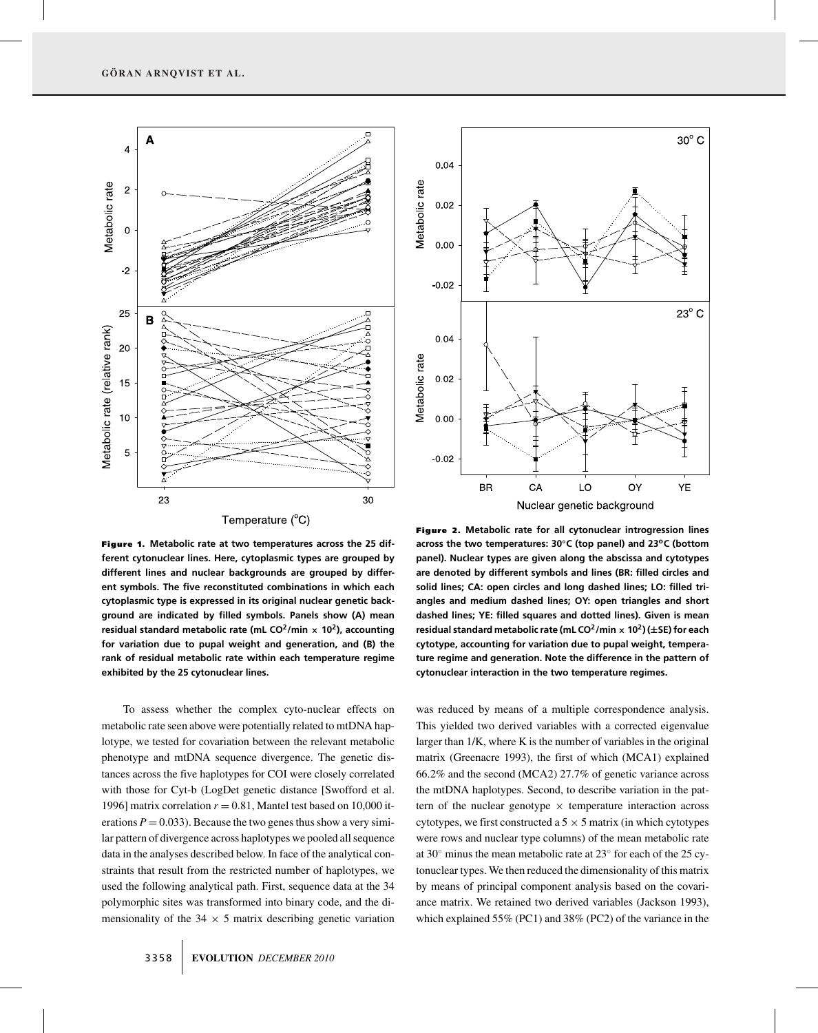

Figure 1. **Metabolic rate at two temperatures across the 25 different cytonuclear lines. Here, cytoplasmic types are grouped by different lines and nuclear backgrounds are grouped by different symbols. The five reconstituted combinations in which each cytoplasmic type is expressed in its original nuclear genetic background are indicated by filled symbols. Panels show (A) mean residual standard metabolic rate (mL CO2/min <sup>×</sup> 102), accounting for variation due to pupal weight and generation, and (B) the rank of residual metabolic rate within each temperature regime exhibited by the 25 cytonuclear lines.**

To assess whether the complex cyto-nuclear effects on metabolic rate seen above were potentially related to mtDNA haplotype, we tested for covariation between the relevant metabolic phenotype and mtDNA sequence divergence. The genetic distances across the five haplotypes for COI were closely correlated with those for Cyt-b (LogDet genetic distance [Swofford et al. 1996] matrix correlation  $r = 0.81$ , Mantel test based on 10,000 iterations  $P = 0.033$ ). Because the two genes thus show a very similar pattern of divergence across haplotypes we pooled all sequence data in the analyses described below. In face of the analytical constraints that result from the restricted number of haplotypes, we used the following analytical path. First, sequence data at the 34 polymorphic sites was transformed into binary code, and the dimensionality of the  $34 \times 5$  matrix describing genetic variation



 $30^{\circ}$  C

Figure 2. **Metabolic rate for all cytonuclear introgression lines across the two temperatures: 30◦C (top panel) and 23oC (bottom panel). Nuclear types are given along the abscissa and cytotypes are denoted by different symbols and lines (BR: filled circles and solid lines; CA: open circles and long dashed lines; LO: filled triangles and medium dashed lines; OY: open triangles and short dashed lines; YE: filled squares and dotted lines). Given is mean residual standard metabolic rate (mL CO2/min <sup>×</sup> 102) (±SE) for each cytotype, accounting for variation due to pupal weight, temperature regime and generation. Note the difference in the pattern of cytonuclear interaction in the two temperature regimes.**

was reduced by means of a multiple correspondence analysis. This yielded two derived variables with a corrected eigenvalue larger than 1/K, where K is the number of variables in the original matrix (Greenacre 1993), the first of which (MCA1) explained 66.2% and the second (MCA2) 27.7% of genetic variance across the mtDNA haplotypes. Second, to describe variation in the pattern of the nuclear genotype  $\times$  temperature interaction across cytotypes, we first constructed a  $5 \times 5$  matrix (in which cytotypes were rows and nuclear type columns) of the mean metabolic rate at 30◦ minus the mean metabolic rate at 23◦ for each of the 25 cytonuclear types. We then reduced the dimensionality of this matrix by means of principal component analysis based on the covariance matrix. We retained two derived variables (Jackson 1993), which explained 55% (PC1) and 38% (PC2) of the variance in the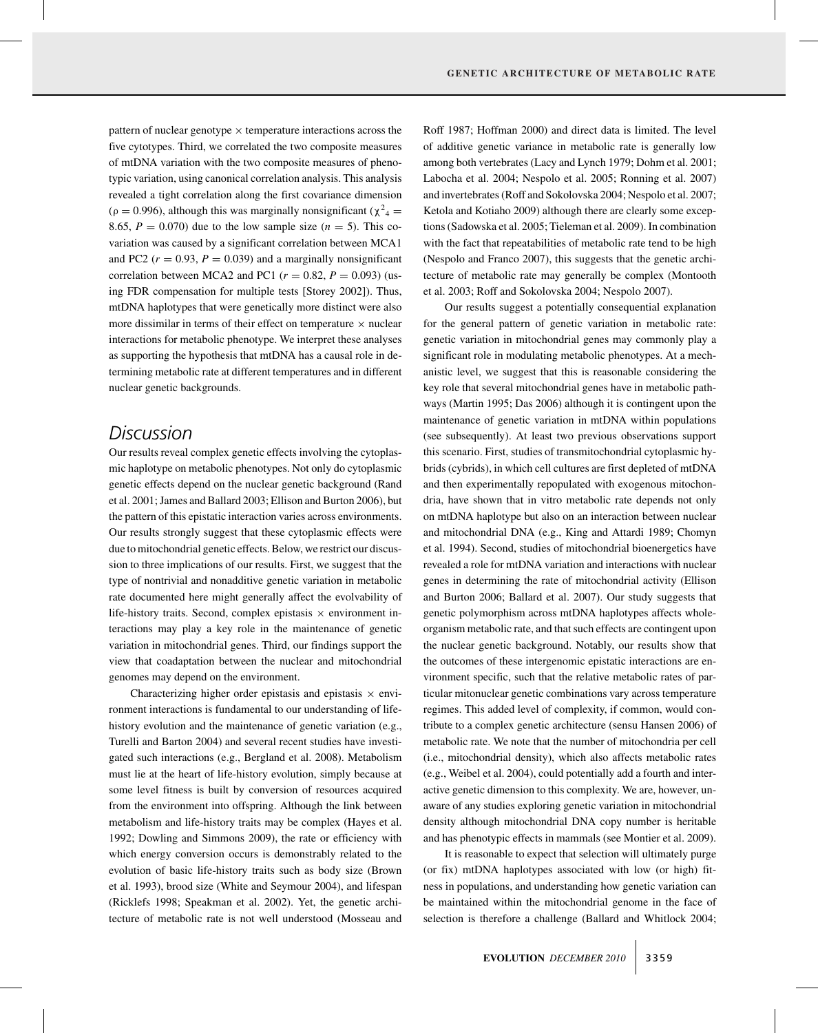pattern of nuclear genotype  $\times$  temperature interactions across the five cytotypes. Third, we correlated the two composite measures of mtDNA variation with the two composite measures of phenotypic variation, using canonical correlation analysis. This analysis revealed a tight correlation along the first covariance dimension ( $\rho = 0.996$ ), although this was marginally nonsignificant ( $\chi^2$ <sub>4</sub> = 8.65,  $P = 0.070$ ) due to the low sample size  $(n = 5)$ . This covariation was caused by a significant correlation between MCA1 and PC2 ( $r = 0.93$ ,  $P = 0.039$ ) and a marginally nonsignificant correlation between MCA2 and PC1 ( $r = 0.82$ ,  $P = 0.093$ ) (using FDR compensation for multiple tests [Storey 2002]). Thus, mtDNA haplotypes that were genetically more distinct were also more dissimilar in terms of their effect on temperature  $\times$  nuclear interactions for metabolic phenotype. We interpret these analyses as supporting the hypothesis that mtDNA has a causal role in determining metabolic rate at different temperatures and in different nuclear genetic backgrounds.

### *Discussion*

Our results reveal complex genetic effects involving the cytoplasmic haplotype on metabolic phenotypes. Not only do cytoplasmic genetic effects depend on the nuclear genetic background (Rand et al. 2001; James and Ballard 2003; Ellison and Burton 2006), but the pattern of this epistatic interaction varies across environments. Our results strongly suggest that these cytoplasmic effects were due to mitochondrial genetic effects. Below, we restrict our discussion to three implications of our results. First, we suggest that the type of nontrivial and nonadditive genetic variation in metabolic rate documented here might generally affect the evolvability of life-history traits. Second, complex epistasis  $\times$  environment interactions may play a key role in the maintenance of genetic variation in mitochondrial genes. Third, our findings support the view that coadaptation between the nuclear and mitochondrial genomes may depend on the environment.

Characterizing higher order epistasis and epistasis  $\times$  environment interactions is fundamental to our understanding of lifehistory evolution and the maintenance of genetic variation (e.g., Turelli and Barton 2004) and several recent studies have investigated such interactions (e.g., Bergland et al. 2008). Metabolism must lie at the heart of life-history evolution, simply because at some level fitness is built by conversion of resources acquired from the environment into offspring. Although the link between metabolism and life-history traits may be complex (Hayes et al. 1992; Dowling and Simmons 2009), the rate or efficiency with which energy conversion occurs is demonstrably related to the evolution of basic life-history traits such as body size (Brown et al. 1993), brood size (White and Seymour 2004), and lifespan (Ricklefs 1998; Speakman et al. 2002). Yet, the genetic architecture of metabolic rate is not well understood (Mosseau and Roff 1987; Hoffman 2000) and direct data is limited. The level of additive genetic variance in metabolic rate is generally low among both vertebrates (Lacy and Lynch 1979; Dohm et al. 2001; Labocha et al. 2004; Nespolo et al. 2005; Ronning et al. 2007) and invertebrates (Roff and Sokolovska 2004; Nespolo et al. 2007; Ketola and Kotiaho 2009) although there are clearly some exceptions (Sadowska et al. 2005; Tieleman et al. 2009). In combination with the fact that repeatabilities of metabolic rate tend to be high (Nespolo and Franco 2007), this suggests that the genetic architecture of metabolic rate may generally be complex (Montooth et al. 2003; Roff and Sokolovska 2004; Nespolo 2007).

Our results suggest a potentially consequential explanation for the general pattern of genetic variation in metabolic rate: genetic variation in mitochondrial genes may commonly play a significant role in modulating metabolic phenotypes. At a mechanistic level, we suggest that this is reasonable considering the key role that several mitochondrial genes have in metabolic pathways (Martin 1995; Das 2006) although it is contingent upon the maintenance of genetic variation in mtDNA within populations (see subsequently). At least two previous observations support this scenario. First, studies of transmitochondrial cytoplasmic hybrids (cybrids), in which cell cultures are first depleted of mtDNA and then experimentally repopulated with exogenous mitochondria, have shown that in vitro metabolic rate depends not only on mtDNA haplotype but also on an interaction between nuclear and mitochondrial DNA (e.g., King and Attardi 1989; Chomyn et al. 1994). Second, studies of mitochondrial bioenergetics have revealed a role for mtDNA variation and interactions with nuclear genes in determining the rate of mitochondrial activity (Ellison and Burton 2006; Ballard et al. 2007). Our study suggests that genetic polymorphism across mtDNA haplotypes affects wholeorganism metabolic rate, and that such effects are contingent upon the nuclear genetic background. Notably, our results show that the outcomes of these intergenomic epistatic interactions are environment specific, such that the relative metabolic rates of particular mitonuclear genetic combinations vary across temperature regimes. This added level of complexity, if common, would contribute to a complex genetic architecture (sensu Hansen 2006) of metabolic rate. We note that the number of mitochondria per cell (i.e., mitochondrial density), which also affects metabolic rates (e.g., Weibel et al. 2004), could potentially add a fourth and interactive genetic dimension to this complexity. We are, however, unaware of any studies exploring genetic variation in mitochondrial density although mitochondrial DNA copy number is heritable and has phenotypic effects in mammals (see Montier et al. 2009).

It is reasonable to expect that selection will ultimately purge (or fix) mtDNA haplotypes associated with low (or high) fitness in populations, and understanding how genetic variation can be maintained within the mitochondrial genome in the face of selection is therefore a challenge (Ballard and Whitlock 2004;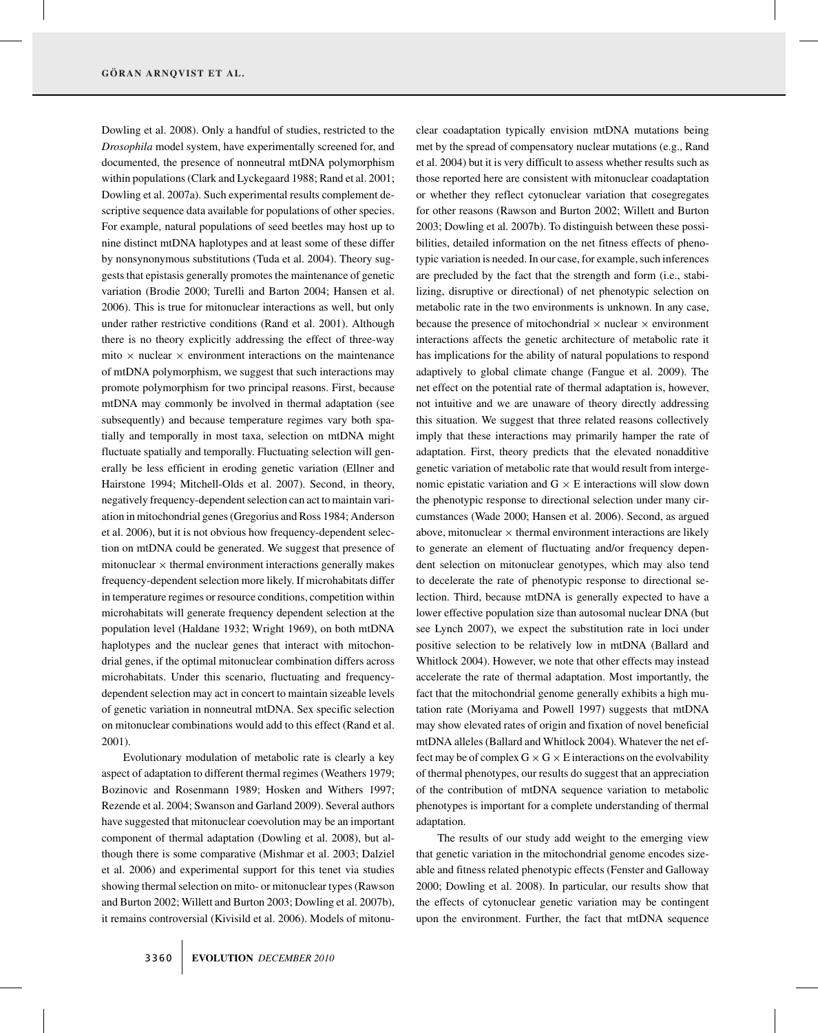Dowling et al. 2008). Only a handful of studies, restricted to the *Drosophila* model system, have experimentally screened for, and documented, the presence of nonneutral mtDNA polymorphism within populations (Clark and Lyckegaard 1988; Rand et al. 2001; Dowling et al. 2007a). Such experimental results complement descriptive sequence data available for populations of other species. For example, natural populations of seed beetles may host up to nine distinct mtDNA haplotypes and at least some of these differ by nonsynonymous substitutions (Tuda et al. 2004). Theory suggests that epistasis generally promotes the maintenance of genetic variation (Brodie 2000; Turelli and Barton 2004; Hansen et al. 2006). This is true for mitonuclear interactions as well, but only under rather restrictive conditions (Rand et al. 2001). Although there is no theory explicitly addressing the effect of three-way mito  $\times$  nuclear  $\times$  environment interactions on the maintenance of mtDNA polymorphism, we suggest that such interactions may promote polymorphism for two principal reasons. First, because mtDNA may commonly be involved in thermal adaptation (see subsequently) and because temperature regimes vary both spatially and temporally in most taxa, selection on mtDNA might fluctuate spatially and temporally. Fluctuating selection will generally be less efficient in eroding genetic variation (Ellner and Hairstone 1994; Mitchell-Olds et al. 2007). Second, in theory, negatively frequency-dependent selection can act to maintain variation in mitochondrial genes (Gregorius and Ross 1984; Anderson et al. 2006), but it is not obvious how frequency-dependent selection on mtDNA could be generated. We suggest that presence of mitonuclear  $\times$  thermal environment interactions generally makes frequency-dependent selection more likely. If microhabitats differ in temperature regimes or resource conditions, competition within microhabitats will generate frequency dependent selection at the population level (Haldane 1932; Wright 1969), on both mtDNA haplotypes and the nuclear genes that interact with mitochondrial genes, if the optimal mitonuclear combination differs across microhabitats. Under this scenario, fluctuating and frequencydependent selection may act in concert to maintain sizeable levels of genetic variation in nonneutral mtDNA. Sex specific selection on mitonuclear combinations would add to this effect (Rand et al. 2001).

Evolutionary modulation of metabolic rate is clearly a key aspect of adaptation to different thermal regimes (Weathers 1979; Bozinovic and Rosenmann 1989; Hosken and Withers 1997; Rezende et al. 2004; Swanson and Garland 2009). Several authors have suggested that mitonuclear coevolution may be an important component of thermal adaptation (Dowling et al. 2008), but although there is some comparative (Mishmar et al. 2003; Dalziel et al. 2006) and experimental support for this tenet via studies showing thermal selection on mito- or mitonuclear types (Rawson and Burton 2002; Willett and Burton 2003; Dowling et al. 2007b), it remains controversial (Kivisild et al. 2006). Models of mitonuclear coadaptation typically envision mtDNA mutations being met by the spread of compensatory nuclear mutations (e.g., Rand et al. 2004) but it is very difficult to assess whether results such as those reported here are consistent with mitonuclear coadaptation or whether they reflect cytonuclear variation that cosegregates for other reasons (Rawson and Burton 2002; Willett and Burton 2003; Dowling et al. 2007b). To distinguish between these possibilities, detailed information on the net fitness effects of phenotypic variation is needed. In our case, for example, such inferences are precluded by the fact that the strength and form (i.e., stabilizing, disruptive or directional) of net phenotypic selection on metabolic rate in the two environments is unknown. In any case, because the presence of mitochondrial  $\times$  nuclear  $\times$  environment interactions affects the genetic architecture of metabolic rate it has implications for the ability of natural populations to respond adaptively to global climate change (Fangue et al. 2009). The net effect on the potential rate of thermal adaptation is, however, not intuitive and we are unaware of theory directly addressing this situation. We suggest that three related reasons collectively imply that these interactions may primarily hamper the rate of adaptation. First, theory predicts that the elevated nonadditive genetic variation of metabolic rate that would result from intergenomic epistatic variation and  $G \times E$  interactions will slow down the phenotypic response to directional selection under many circumstances (Wade 2000; Hansen et al. 2006). Second, as argued above, mitonuclear  $\times$  thermal environment interactions are likely to generate an element of fluctuating and/or frequency dependent selection on mitonuclear genotypes, which may also tend to decelerate the rate of phenotypic response to directional selection. Third, because mtDNA is generally expected to have a lower effective population size than autosomal nuclear DNA (but see Lynch 2007), we expect the substitution rate in loci under positive selection to be relatively low in mtDNA (Ballard and Whitlock 2004). However, we note that other effects may instead accelerate the rate of thermal adaptation. Most importantly, the fact that the mitochondrial genome generally exhibits a high mutation rate (Moriyama and Powell 1997) suggests that mtDNA may show elevated rates of origin and fixation of novel beneficial mtDNA alleles (Ballard and Whitlock 2004). Whatever the net effect may be of complex  $G \times G \times E$  interactions on the evolvability of thermal phenotypes, our results do suggest that an appreciation of the contribution of mtDNA sequence variation to metabolic phenotypes is important for a complete understanding of thermal adaptation.

The results of our study add weight to the emerging view that genetic variation in the mitochondrial genome encodes sizeable and fitness related phenotypic effects (Fenster and Galloway 2000; Dowling et al. 2008). In particular, our results show that the effects of cytonuclear genetic variation may be contingent upon the environment. Further, the fact that mtDNA sequence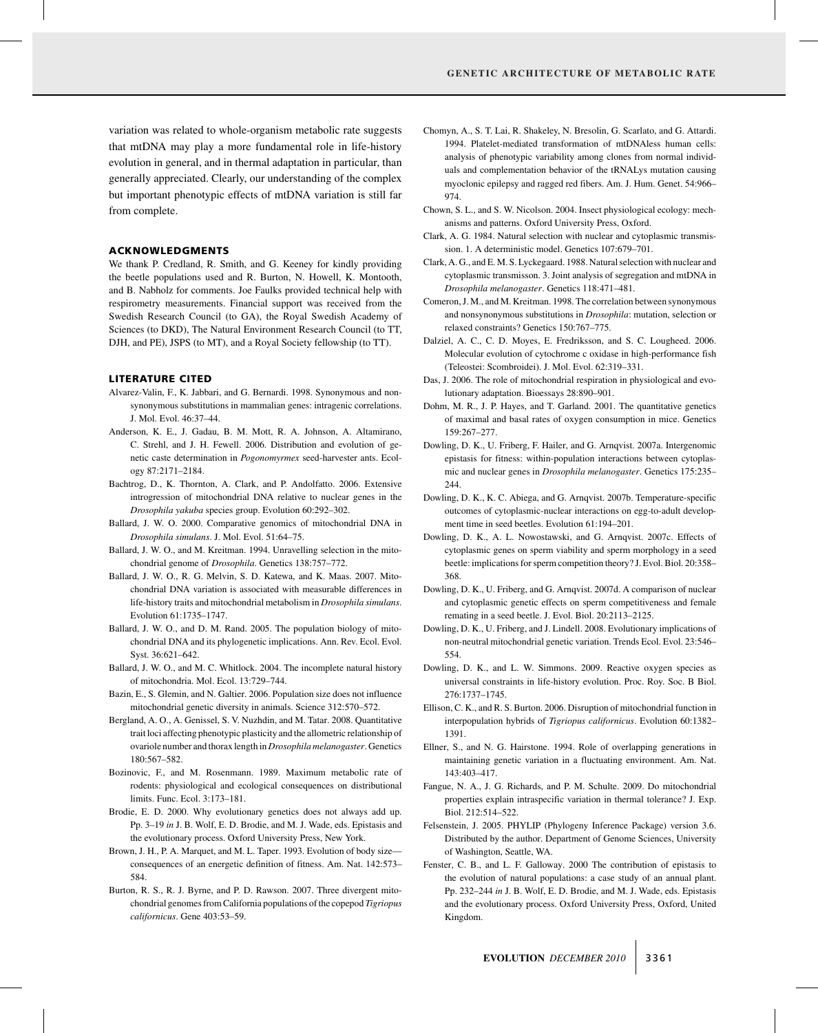variation was related to whole-organism metabolic rate suggests that mtDNA may play a more fundamental role in life-history evolution in general, and in thermal adaptation in particular, than generally appreciated. Clearly, our understanding of the complex but important phenotypic effects of mtDNA variation is still far from complete.

### ACKNOWLEDGMENTS

We thank P. Credland, R. Smith, and G. Keeney for kindly providing the beetle populations used and R. Burton, N. Howell, K. Montooth, and B. Nabholz for comments. Joe Faulks provided technical help with respirometry measurements. Financial support was received from the Swedish Research Council (to GA), the Royal Swedish Academy of Sciences (to DKD), The Natural Environment Research Council (to TT, DJH, and PE), JSPS (to MT), and a Royal Society fellowship (to TT).

#### LITERATURE CITED

- Alvarez-Valin, F., K. Jabbari, and G. Bernardi. 1998. Synonymous and nonsynonymous substitutions in mammalian genes: intragenic correlations. J. Mol. Evol. 46:37–44.
- Anderson, K. E., J. Gadau, B. M. Mott, R. A. Johnson, A. Altamirano, C. Strehl, and J. H. Fewell. 2006. Distribution and evolution of genetic caste determination in *Pogonomyrmex* seed-harvester ants. Ecology 87:2171–2184.
- Bachtrog, D., K. Thornton, A. Clark, and P. Andolfatto. 2006. Extensive introgression of mitochondrial DNA relative to nuclear genes in the *Drosophila yakuba* species group. Evolution 60:292–302.
- Ballard, J. W. O. 2000. Comparative genomics of mitochondrial DNA in *Drosophila simulans*. J. Mol. Evol. 51:64–75.
- Ballard, J. W. O., and M. Kreitman. 1994. Unravelling selection in the mitochondrial genome of *Drosophila*. Genetics 138:757–772.
- Ballard, J. W. O., R. G. Melvin, S. D. Katewa, and K. Maas. 2007. Mitochondrial DNA variation is associated with measurable differences in life-history traits and mitochondrial metabolism in *Drosophila simulans*. Evolution 61:1735–1747.
- Ballard, J. W. O., and D. M. Rand. 2005. The population biology of mitochondrial DNA and its phylogenetic implications. Ann. Rev. Ecol. Evol. Syst. 36:621–642.
- Ballard, J. W. O., and M. C. Whitlock. 2004. The incomplete natural history of mitochondria. Mol. Ecol. 13:729–744.
- Bazin, E., S. Glemin, and N. Galtier. 2006. Population size does not influence mitochondrial genetic diversity in animals. Science 312:570–572.
- Bergland, A. O., A. Genissel, S. V. Nuzhdin, and M. Tatar. 2008. Quantitative trait loci affecting phenotypic plasticity and the allometric relationship of ovariole number and thorax length in *Drosophila melanogaster*. Genetics 180:567–582.
- Bozinovic, F., and M. Rosenmann. 1989. Maximum metabolic rate of rodents: physiological and ecological consequences on distributional limits. Func. Ecol. 3:173–181.
- Brodie, E. D. 2000. Why evolutionary genetics does not always add up. Pp. 3–19 *in* J. B. Wolf, E. D. Brodie, and M. J. Wade, eds. Epistasis and the evolutionary process. Oxford University Press, New York.
- Brown, J. H., P. A. Marquet, and M. L. Taper. 1993. Evolution of body size consequences of an energetic definition of fitness. Am. Nat. 142:573– 584.
- Burton, R. S., R. J. Byrne, and P. D. Rawson. 2007. Three divergent mitochondrial genomes from California populations of the copepod *Tigriopus californicus*. Gene 403:53–59.
- Chomyn, A., S. T. Lai, R. Shakeley, N. Bresolin, G. Scarlato, and G. Attardi. 1994. Platelet-mediated transformation of mtDNAless human cells: analysis of phenotypic variability among clones from normal individuals and complementation behavior of the tRNALys mutation causing myoclonic epilepsy and ragged red fibers. Am. J. Hum. Genet. 54:966– 974.
- Chown, S. L., and S. W. Nicolson. 2004. Insect physiological ecology: mechanisms and patterns. Oxford University Press, Oxford.
- Clark, A. G. 1984. Natural selection with nuclear and cytoplasmic transmission. 1. A deterministic model. Genetics 107:679–701.
- Clark, A. G., and E. M. S. Lyckegaard. 1988. Natural selection with nuclear and cytoplasmic transmisson. 3. Joint analysis of segregation and mtDNA in *Drosophila melanogaster*. Genetics 118:471–481.
- Comeron, J. M., and M. Kreitman. 1998. The correlation between synonymous and nonsynonymous substitutions in *Drosophila*: mutation, selection or relaxed constraints? Genetics 150:767–775.
- Dalziel, A. C., C. D. Moyes, E. Fredriksson, and S. C. Lougheed. 2006. Molecular evolution of cytochrome c oxidase in high-performance fish (Teleostei: Scombroidei). J. Mol. Evol. 62:319–331.
- Das, J. 2006. The role of mitochondrial respiration in physiological and evolutionary adaptation. Bioessays 28:890–901.
- Dohm, M. R., J. P. Hayes, and T. Garland. 2001. The quantitative genetics of maximal and basal rates of oxygen consumption in mice. Genetics 159:267–277.
- Dowling, D. K., U. Friberg, F. Hailer, and G. Arnqvist. 2007a. Intergenomic epistasis for fitness: within-population interactions between cytoplasmic and nuclear genes in *Drosophila melanogaster*. Genetics 175:235– 244.
- Dowling, D. K., K. C. Abiega, and G. Arnqvist. 2007b. Temperature-specific outcomes of cytoplasmic-nuclear interactions on egg-to-adult development time in seed beetles. Evolution 61:194–201.
- Dowling, D. K., A. L. Nowostawski, and G. Arnqvist. 2007c. Effects of cytoplasmic genes on sperm viability and sperm morphology in a seed beetle: implications for sperm competition theory? J. Evol. Biol. 20:358– 368.
- Dowling, D. K., U. Friberg, and G. Arnqvist. 2007d. A comparison of nuclear and cytoplasmic genetic effects on sperm competitiveness and female remating in a seed beetle. J. Evol. Biol. 20:2113–2125.
- Dowling, D. K., U. Friberg, and J. Lindell. 2008. Evolutionary implications of non-neutral mitochondrial genetic variation. Trends Ecol. Evol. 23:546– 554.
- Dowling, D. K., and L. W. Simmons. 2009. Reactive oxygen species as universal constraints in life-history evolution. Proc. Roy. Soc. B Biol. 276:1737–1745.
- Ellison, C. K., and R. S. Burton. 2006. Disruption of mitochondrial function in interpopulation hybrids of *Tigriopus californicus*. Evolution 60:1382– 1391.
- Ellner, S., and N. G. Hairstone. 1994. Role of overlapping generations in maintaining genetic variation in a fluctuating environment. Am. Nat. 143:403–417.
- Fangue, N. A., J. G. Richards, and P. M. Schulte. 2009. Do mitochondrial properties explain intraspecific variation in thermal tolerance? J. Exp. Biol. 212:514–522.
- Felsenstein, J. 2005. PHYLIP (Phylogeny Inference Package) version 3.6. Distributed by the author. Department of Genome Sciences, University of Washington, Seattle, WA.
- Fenster, C. B., and L. F. Galloway. 2000 The contribution of epistasis to the evolution of natural populations: a case study of an annual plant. Pp. 232–244 *in* J. B. Wolf, E. D. Brodie, and M. J. Wade, eds. Epistasis and the evolutionary process. Oxford University Press, Oxford, United Kingdom.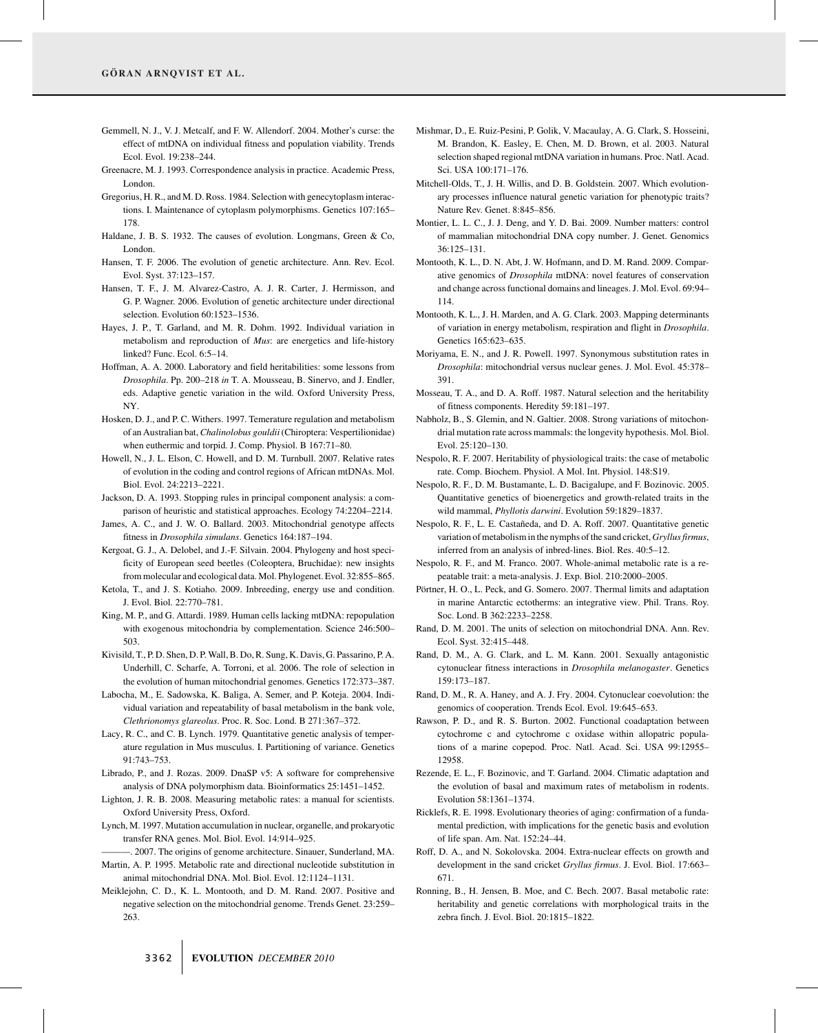- Gemmell, N. J., V. J. Metcalf, and F. W. Allendorf. 2004. Mother's curse: the effect of mtDNA on individual fitness and population viability. Trends Ecol. Evol. 19:238–244.
- Greenacre, M. J. 1993. Correspondence analysis in practice. Academic Press, London.
- Gregorius, H. R., and M. D. Ross. 1984. Selection with genecytoplasm interactions. I. Maintenance of cytoplasm polymorphisms. Genetics 107:165– 178.
- Haldane, J. B. S. 1932. The causes of evolution. Longmans, Green & Co, London.
- Hansen, T. F. 2006. The evolution of genetic architecture. Ann. Rev. Ecol. Evol. Syst. 37:123–157.
- Hansen, T. F., J. M. Alvarez-Castro, A. J. R. Carter, J. Hermisson, and G. P. Wagner. 2006. Evolution of genetic architecture under directional selection. Evolution 60:1523–1536.
- Hayes, J. P., T. Garland, and M. R. Dohm. 1992. Individual variation in metabolism and reproduction of *Mus*: are energetics and life-history linked? Func. Ecol. 6:5–14.
- Hoffman, A. A. 2000. Laboratory and field heritabilities: some lessons from *Drosophila*. Pp. 200–218 *in* T. A. Mousseau, B. Sinervo, and J. Endler, eds. Adaptive genetic variation in the wild. Oxford University Press, NY.
- Hosken, D. J., and P. C. Withers. 1997. Temerature regulation and metabolism of an Australian bat,*Chalinolobus gouldii*(Chiroptera: Vespertilionidae) when euthermic and torpid. J. Comp. Physiol. B 167:71–80.
- Howell, N., J. L. Elson, C. Howell, and D. M. Turnbull. 2007. Relative rates of evolution in the coding and control regions of African mtDNAs. Mol. Biol. Evol. 24:2213–2221.
- Jackson, D. A. 1993. Stopping rules in principal component analysis: a comparison of heuristic and statistical approaches. Ecology 74:2204–2214.
- James, A. C., and J. W. O. Ballard. 2003. Mitochondrial genotype affects fitness in *Drosophila simulans*. Genetics 164:187–194.
- Kergoat, G. J., A. Delobel, and J.-F. Silvain. 2004. Phylogeny and host specificity of European seed beetles (Coleoptera, Bruchidae): new insights from molecular and ecological data. Mol. Phylogenet. Evol. 32:855–865.
- Ketola, T., and J. S. Kotiaho. 2009. Inbreeding, energy use and condition. J. Evol. Biol. 22:770–781.
- King, M. P., and G. Attardi. 1989. Human cells lacking mtDNA: repopulation with exogenous mitochondria by complementation. Science 246:500– 503.
- Kivisild, T., P. D. Shen, D. P. Wall, B. Do, R. Sung, K. Davis, G. Passarino, P. A. Underhill, C. Scharfe, A. Torroni, et al. 2006. The role of selection in the evolution of human mitochondrial genomes. Genetics 172:373–387.
- Labocha, M., E. Sadowska, K. Baliga, A. Semer, and P. Koteja. 2004. Individual variation and repeatability of basal metabolism in the bank vole, *Clethrionomys glareolus*. Proc. R. Soc. Lond. B 271:367–372.
- Lacy, R. C., and C. B. Lynch. 1979. Quantitative genetic analysis of temperature regulation in Mus musculus. I. Partitioning of variance. Genetics 91:743–753.
- Librado, P., and J. Rozas. 2009. DnaSP v5: A software for comprehensive analysis of DNA polymorphism data. Bioinformatics 25:1451–1452.
- Lighton, J. R. B. 2008. Measuring metabolic rates: a manual for scientists. Oxford University Press, Oxford.
- Lynch, M. 1997. Mutation accumulation in nuclear, organelle, and prokaryotic transfer RNA genes. Mol. Biol. Evol. 14:914–925.
- ———. 2007. The origins of genome architecture. Sinauer, Sunderland, MA.
- Martin, A. P. 1995. Metabolic rate and directional nucleotide substitution in animal mitochondrial DNA. Mol. Biol. Evol. 12:1124–1131.
- Meiklejohn, C. D., K. L. Montooth, and D. M. Rand. 2007. Positive and negative selection on the mitochondrial genome. Trends Genet. 23:259– 263.
- Mishmar, D., E. Ruiz-Pesini, P. Golik, V. Macaulay, A. G. Clark, S. Hosseini, M. Brandon, K. Easley, E. Chen, M. D. Brown, et al. 2003. Natural selection shaped regional mtDNA variation in humans. Proc. Natl. Acad. Sci. USA 100:171–176.
- Mitchell-Olds, T., J. H. Willis, and D. B. Goldstein. 2007. Which evolutionary processes influence natural genetic variation for phenotypic traits? Nature Rev. Genet. 8:845–856.
- Montier, L. L. C., J. J. Deng, and Y. D. Bai. 2009. Number matters: control of mammalian mitochondrial DNA copy number. J. Genet. Genomics 36:125–131.
- Montooth, K. L., D. N. Abt, J. W. Hofmann, and D. M. Rand. 2009. Comparative genomics of *Drosophila* mtDNA: novel features of conservation and change across functional domains and lineages. J. Mol. Evol. 69:94– 114.
- Montooth, K. L., J. H. Marden, and A. G. Clark. 2003. Mapping determinants of variation in energy metabolism, respiration and flight in *Drosophila*. Genetics 165:623–635.
- Moriyama, E. N., and J. R. Powell. 1997. Synonymous substitution rates in *Drosophila*: mitochondrial versus nuclear genes. J. Mol. Evol. 45:378– 391.
- Mosseau, T. A., and D. A. Roff. 1987. Natural selection and the heritability of fitness components. Heredity 59:181–197.
- Nabholz, B., S. Glemin, and N. Galtier. 2008. Strong variations of mitochondrial mutation rate across mammals: the longevity hypothesis. Mol. Biol. Evol. 25:120–130.
- Nespolo, R. F. 2007. Heritability of physiological traits: the case of metabolic rate. Comp. Biochem. Physiol. A Mol. Int. Physiol. 148:S19.
- Nespolo, R. F., D. M. Bustamante, L. D. Bacigalupe, and F. Bozinovic. 2005. Quantitative genetics of bioenergetics and growth-related traits in the wild mammal, *Phyllotis darwini*. Evolution 59:1829–1837.
- Nespolo, R. F., L. E. Castañeda, and D. A. Roff. 2007. Quantitative genetic variation of metabolism in the nymphs of the sand cricket, *Gryllus firmus*, inferred from an analysis of inbred-lines. Biol. Res. 40:5–12.
- Nespolo, R. F., and M. Franco. 2007. Whole-animal metabolic rate is a repeatable trait: a meta-analysis. J. Exp. Biol. 210:2000–2005.
- Pörtner, H. O., L. Peck, and G. Somero. 2007. Thermal limits and adaptation in marine Antarctic ectotherms: an integrative view. Phil. Trans. Roy. Soc. Lond. B 362:2233–2258.
- Rand, D. M. 2001. The units of selection on mitochondrial DNA. Ann. Rev. Ecol. Syst. 32:415–448.
- Rand, D. M., A. G. Clark, and L. M. Kann. 2001. Sexually antagonistic cytonuclear fitness interactions in *Drosophila melanogaster*. Genetics 159:173–187.
- Rand, D. M., R. A. Haney, and A. J. Fry. 2004. Cytonuclear coevolution: the genomics of cooperation. Trends Ecol. Evol. 19:645–653.
- Rawson, P. D., and R. S. Burton. 2002. Functional coadaptation between cytochrome c and cytochrome c oxidase within allopatric populations of a marine copepod. Proc. Natl. Acad. Sci. USA 99:12955– 12958.
- Rezende, E. L., F. Bozinovic, and T. Garland. 2004. Climatic adaptation and the evolution of basal and maximum rates of metabolism in rodents. Evolution 58:1361–1374.
- Ricklefs, R. E. 1998. Evolutionary theories of aging: confirmation of a fundamental prediction, with implications for the genetic basis and evolution of life span. Am. Nat. 152:24–44.
- Roff, D. A., and N. Sokolovska. 2004. Extra-nuclear effects on growth and development in the sand cricket *Gryllus firmus*. J. Evol. Biol. 17:663– 671.
- Ronning, B., H. Jensen, B. Moe, and C. Bech. 2007. Basal metabolic rate: heritability and genetic correlations with morphological traits in the zebra finch. J. Evol. Biol. 20:1815–1822.